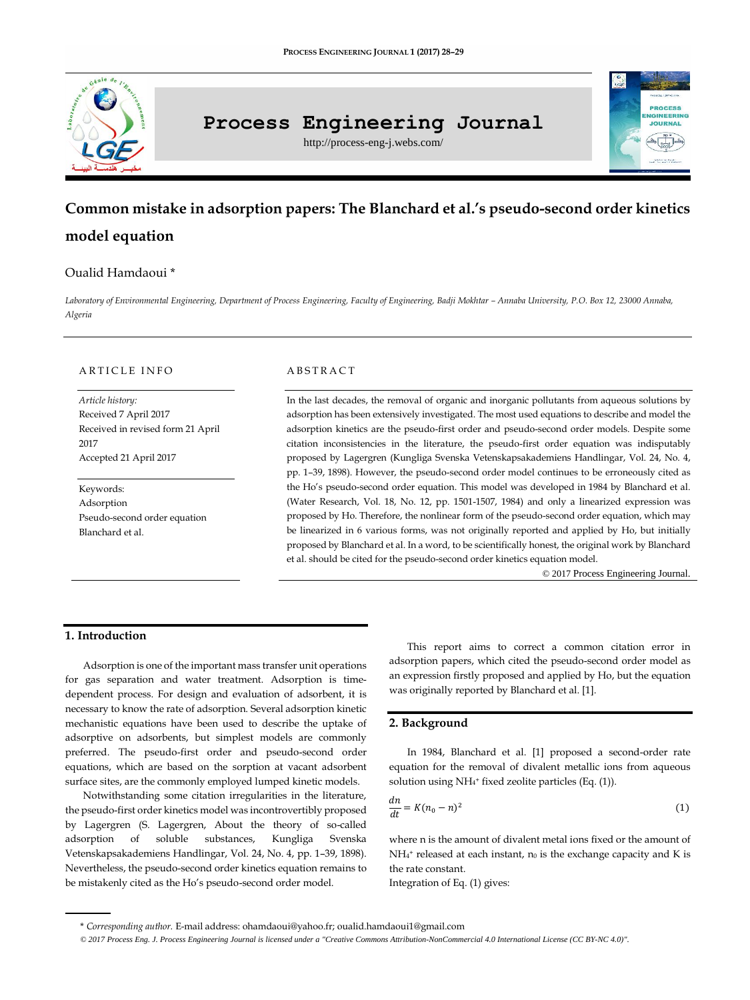

# **Process Engineering Journal**

http://process-eng-j.webs.com/

# **Common mistake in adsorption papers: The Blanchard et al.'s pseudo-second order kinetics model equation**

# Oualid Hamdaoui \*

Laboratory of Environmental Engineering, Department of Process Engineering, Faculty of Engineering, Badji Mokhtar - Annaba University, P.O. Box 12, 23000 Annaba, *Algeria*

### ARTICLE INFO

*Article history:* Received 7 April 2017 Received in revised form 21 April 2017 Accepted 21 April 2017

Keywords: Adsorption Pseudo-second order equation Blanchard et al.

#### **ABSTRACT**

In the last decades, the removal of organic and inorganic pollutants from aqueous solutions by adsorption has been extensively investigated. The most used equations to describe and model the adsorption kinetics are the pseudo-first order and pseudo-second order models. Despite some citation inconsistencies in the literature, the pseudo-first order equation was indisputably proposed by Lagergren (Kungliga Svenska Vetenskapsakademiens Handlingar, Vol. 24, No. 4, pp. 1–39, 1898). However, the pseudo-second order model continues to be erroneously cited as the Ho's pseudo-second order equation. This model was developed in 1984 by Blanchard et al. (Water Research, Vol. 18, No. 12, pp. 1501-1507, 1984) and only a linearized expression was proposed by Ho. Therefore, the nonlinear form of the pseudo-second order equation, which may be linearized in 6 various forms, was not originally reported and applied by Ho, but initially proposed by Blanchard et al. In a word, to be scientifically honest, the original work by Blanchard et al. should be cited for the pseudo-second order kinetics equation model.

© 2017 Process Engineering Journal.

**PROCESS** NGINEERING

# **1. Introduction**

Adsorption is one of the important mass transfer unit operations for gas separation and water treatment. Adsorption is timedependent process. For design and evaluation of adsorbent, it is necessary to know the rate of adsorption. Several adsorption kinetic mechanistic equations have been used to describe the uptake of adsorptive on adsorbents, but simplest models are commonly preferred. The pseudo-first order and pseudo-second order equations, which are based on the sorption at vacant adsorbent surface sites, are the commonly employed lumped kinetic models.

Notwithstanding some citation irregularities in the literature, the pseudo-first order kinetics model was incontrovertibly proposed by Lagergren (S. Lagergren, About the theory of so-called adsorption of soluble substances, Kungliga Svenska Vetenskapsakademiens Handlingar, Vol. 24, No. 4, pp. 1–39, 1898). Nevertheless, the pseudo-second order kinetics equation remains to be mistakenly cited as the Ho's pseudo-second order model.

This report aims to correct a common citation error in adsorption papers, which cited the pseudo-second order model as an expression firstly proposed and applied by Ho, but the equation was originally reported by Blanchard et al. [1].

# **2. Background**

In 1984, Blanchard et al. [1] proposed a second-order rate equation for the removal of divalent metallic ions from aqueous solution using NH<sub>4</sub><sup>+</sup> fixed zeolite particles (Eq. (1)).

$$
\frac{dn}{dt} = K(n_0 - n)^2 \tag{1}
$$

where n is the amount of divalent metal ions fixed or the amount of  $NH<sub>4</sub>$ <sup>+</sup> released at each instant,  $n_0$  is the exchange capacity and K is the rate constant.

Integration of Eq. (1) gives:

<sup>\*</sup> *Corresponding author.* E-mail address[: ohamdaoui@yahoo.fr;](mailto:ohamdaoui@yahoo.fr) [oualid.hamdaoui1@gmail.com](mailto:oualid.hamdaoui1@gmail.com)

 $\odot$  2017 Process Eng. J. Process Engineering Journal is licensed under [a "Creative Commons Attribution-NonCommercial 4.0 International License \(CC BY-NC 4.0\)".](https://creativecommons.org/licenses/by-nc/4.0/)